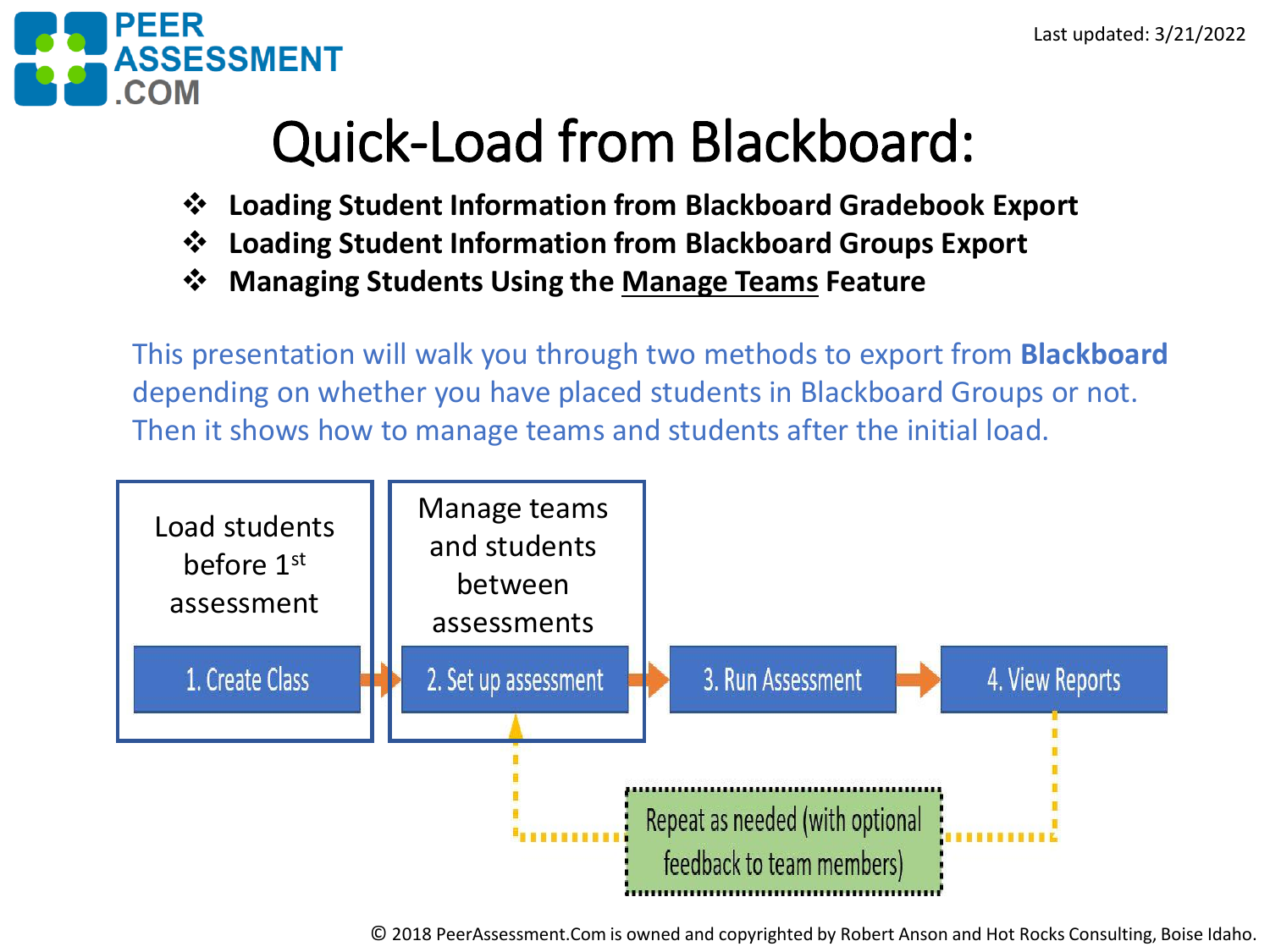

## Quick-Load from Blackboard:

- ❖ **Loading Student Information from Blackboard Gradebook Export**
- ❖ **Loading Student Information from Blackboard Groups Export**
- ❖ **Managing Students Using the Manage Teams Feature**

This presentation will walk you through two methods to export from **Blackboard** depending on whether you have placed students in Blackboard Groups or not. Then it shows how to manage teams and students after the initial load.

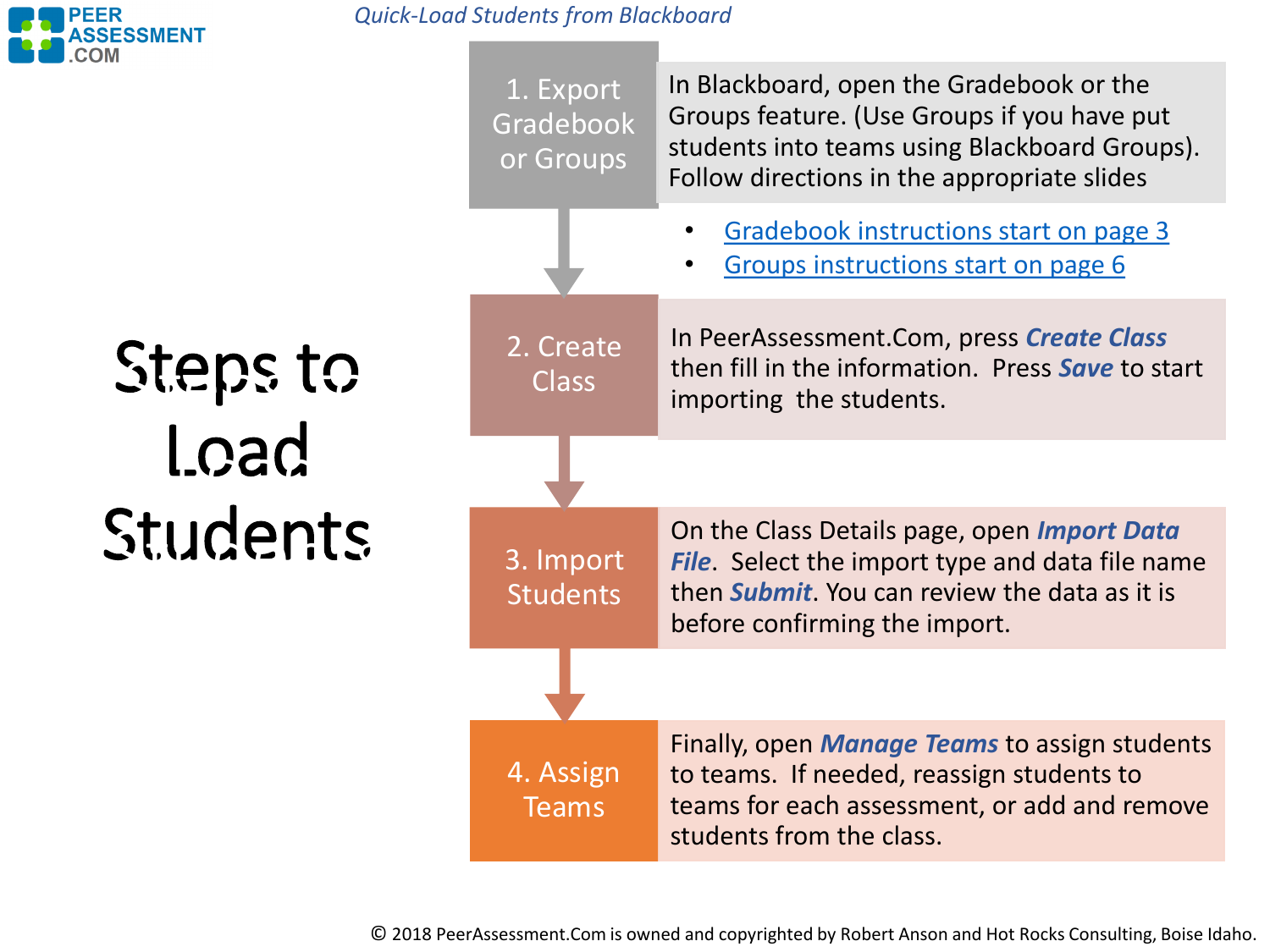

*Quick-Load Students from Blackboard*

Steps to Load Students Steps to Load Students

4. Assign Teams Finally, open *Manage Teams* to assign students to teams. If needed, reassign students to teams for each assessment, or add and remove students from the class. 3. Import Students On the Class Details page, open *Import Data File*. Select the import type and data file name then *Submit*. You can review the data as it is before confirming the import. 2. Create Class In PeerAssessment.Com, press *Create Class*  then fill in the information. Press *Save* to start importing the students. 1. Export **Gradebook** or Groups In Blackboard, open the Gradebook or the Groups feature. (Use Groups if you have put students into teams using Blackboard Groups). Follow directions in the appropriate slides • [Gradebook instructions start on page 3](#page-2-0) • Groups [instructions](#page-5-0) start on page 6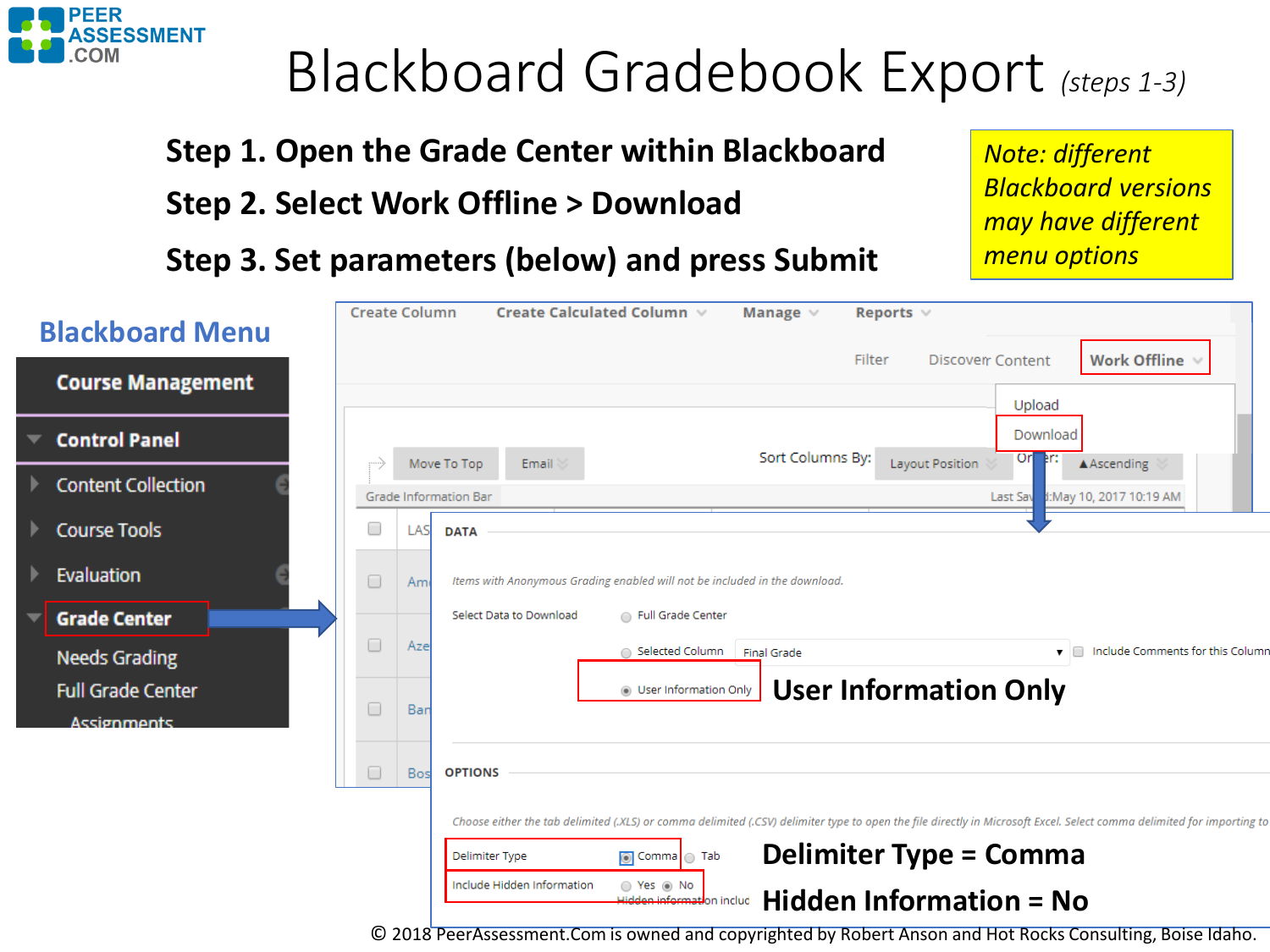<span id="page-2-0"></span>

### Blackboard Gradebook Export *(steps 1-3)*

**Step 1. Open the Grade Center within Blackboard**

**Step 2. Select Work Offline > Download**

**Step 3. Set parameters (below) and press Submit**

*Note: different Blackboard versions may have different menu options*

| <b>Blackboard Menu</b>                         | <b>Create Column</b> |            | Create Calculated Column $\vee$<br>Reports $\vee$<br>Manage $\vee$                                                                                                          |
|------------------------------------------------|----------------------|------------|-----------------------------------------------------------------------------------------------------------------------------------------------------------------------------|
| <b>Course Management</b>                       |                      |            | Work Offline v<br>Filter<br><b>Discover Content</b><br>Upload                                                                                                               |
| <b>Control Panel</b>                           |                      |            | Download<br>Sort Columns By:<br>Or <sub>per:</sub><br>AAscending<br>Layout Position<br>Email<br>Move To Top                                                                 |
| <b>Content Collection</b>                      |                      |            | <b>Grade Information Bar</b><br>Last Sav 3: May 10, 2017 10:19 AM                                                                                                           |
| <b>Course Tools</b>                            | Œ                    | <b>LAS</b> | <b>DATA</b>                                                                                                                                                                 |
| Evaluation                                     | $\Box$               | Am         | Items with Anonymous Grading enabled will not be included in the download.                                                                                                  |
| <b>Grade Center</b>                            |                      |            | Select Data to Download<br>Full Grade Center                                                                                                                                |
| <b>Needs Grading</b>                           | $\Box$               | Aze        | Include Comments for this Colum<br>○ Selected Column<br>$\blacksquare$<br><b>Final Grade</b>                                                                                |
| <b>Full Grade Center</b><br><b>Assignments</b> | $\Box$               | Bar        | <b>User Information Only</b><br>O User Information Only                                                                                                                     |
|                                                | $\Box$               | Bos        | <b>OPTIONS</b>                                                                                                                                                              |
|                                                |                      |            | Choose either the tab delimited (.XLS) or comma delimited (.CSV) delimiter type to open the file directly in Microsoft Excel. Select comma delimited for importing t        |
|                                                |                      |            | <b>Delimiter Type = Comma</b><br><b>Delimiter Type</b><br>◯ Comma C Tab<br>Include Hidden Information<br>○ Yes ◉ No<br>Hidden Information = No<br>Hidden information includ |
|                                                |                      |            | © 2018 PeerAssessment.Com is owned and copyrighted by Robert Anson and Hot Rocks Consulting, Boise Idaho.                                                                   |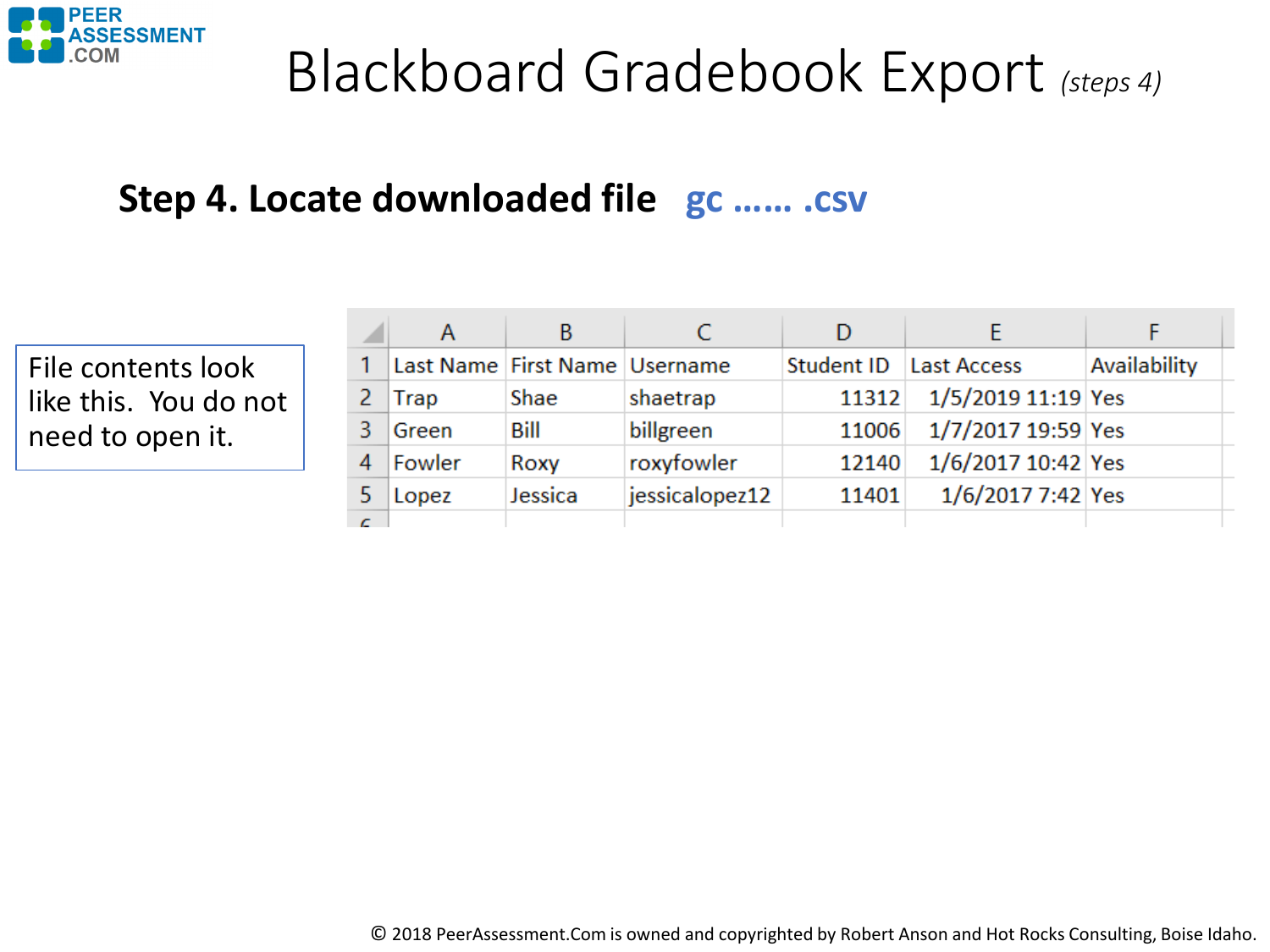

### Blackboard Gradebook Export *(steps 4)*

### **Step 4. Locate downloaded file gc …… .csv**

File contents look like this. You do not need to open it.

|            | A      | B                             |                |            |                    |              |
|------------|--------|-------------------------------|----------------|------------|--------------------|--------------|
|            |        | Last Name First Name Username |                | Student ID | <b>Last Access</b> | Availability |
|            | Trap   | Shae                          | shaetrap       | 11312      | 1/5/2019 11:19 Yes |              |
|            | Green  | Bill                          | billgreen      | 11006      | 1/7/2017 19:59 Yes |              |
|            | Fowler | Roxy                          | roxyfowler     | 12140      | 1/6/2017 10:42 Yes |              |
|            | Lopez  | Jessica                       | jessicalopez12 | 11401      | 1/6/2017 7:42 Yes  |              |
| $\epsilon$ |        |                               |                |            |                    |              |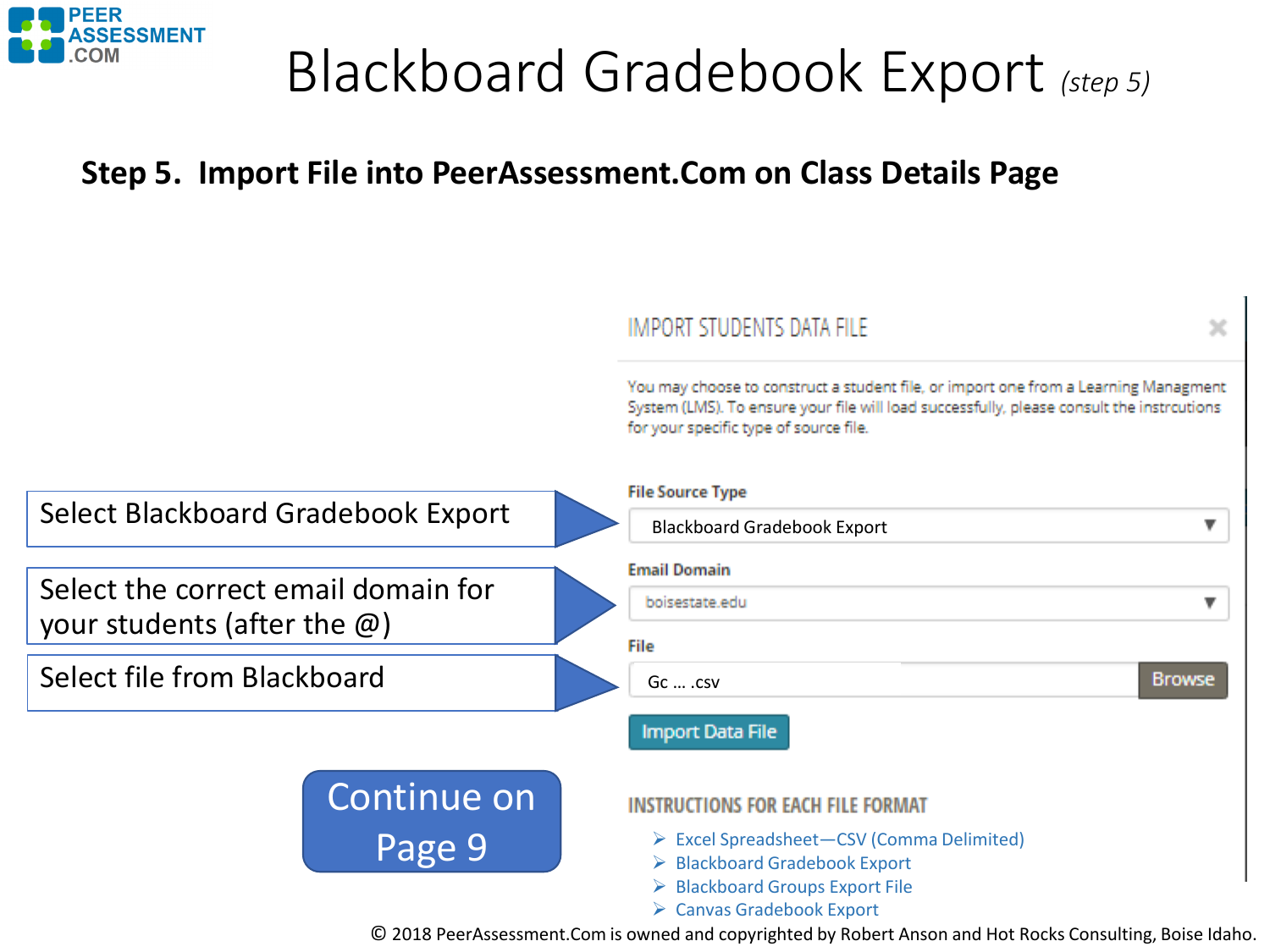

### Blackboard Gradebook Export *(step 5)*

### **Step 5. Import File into PeerAssessment.Com on Class Details Page**

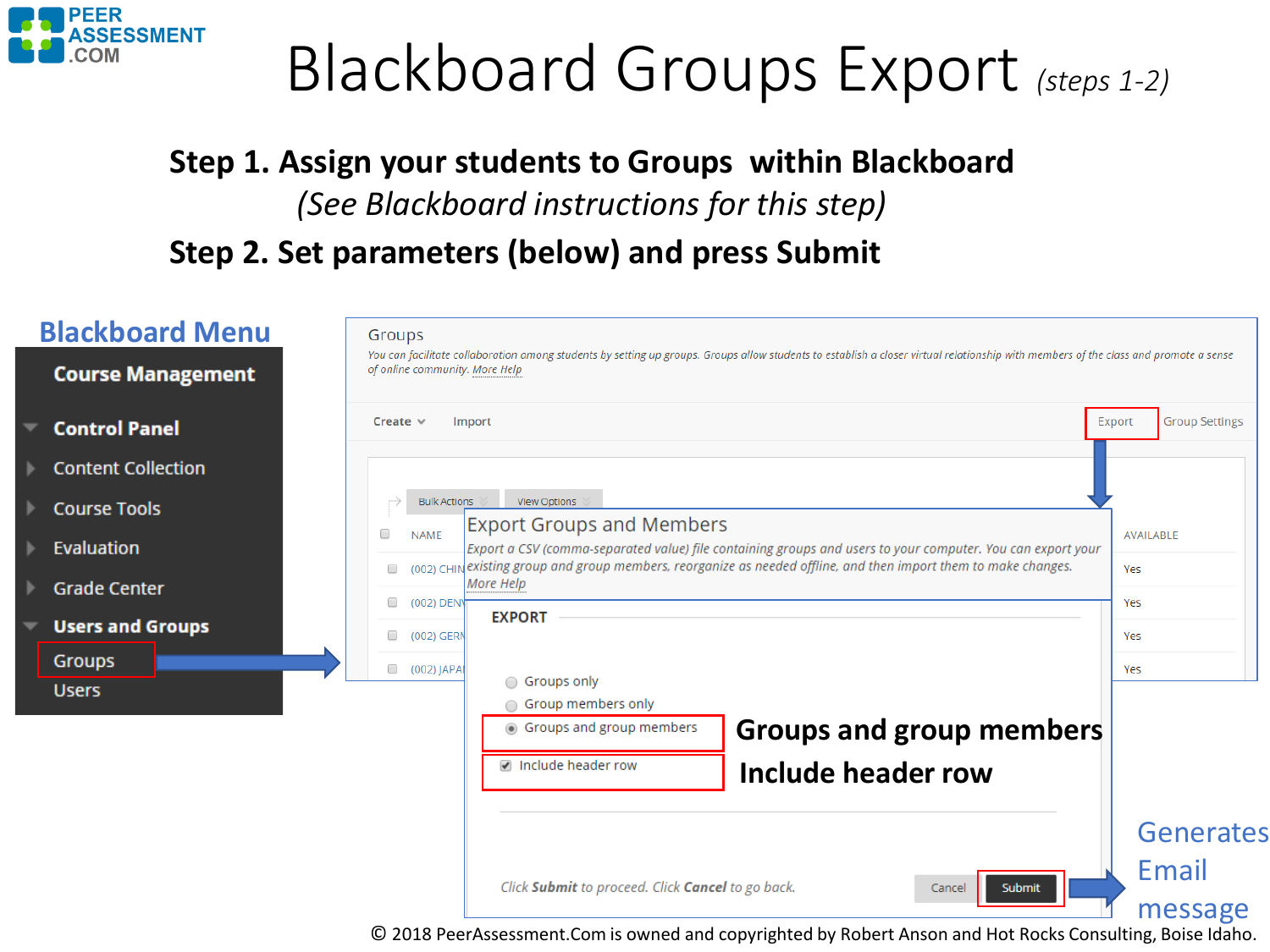<span id="page-5-0"></span>

# Blackboard Groups Export *(steps 1-2)*

### **Step 1. Assign your students to Groups within Blackboard**  *(See Blackboard instructions for this step)* **Step 2. Set parameters (below) and press Submit**

| <b>Blackboard Menu</b>    | Groups        |                                |                                                                                                                                                                                      |                  |                       |
|---------------------------|---------------|--------------------------------|--------------------------------------------------------------------------------------------------------------------------------------------------------------------------------------|------------------|-----------------------|
| <b>Course Management</b>  |               | of online community. More Help | You can facilitate collaboration among students by setting up groups. Groups allow students to establish a closer virtual relationship with members of the class and promote a sense |                  |                       |
| <b>Control Panel</b>      | Create $\vee$ |                                | Import                                                                                                                                                                               | Export           | <b>Group Settings</b> |
| <b>Content Collection</b> |               |                                |                                                                                                                                                                                      |                  |                       |
| <b>Course Tools</b>       |               | <b>Bulk Actions</b>            | <b>View Options</b>                                                                                                                                                                  |                  |                       |
| Evaluation                | $\Box$        | <b>NAME</b>                    | <b>Export Groups and Members</b><br>Export a CSV (comma-separated value) file containing groups and users to your computer. You can export your                                      | <b>AVAILABLE</b> |                       |
| <b>Grade Center</b>       | $\Box$        |                                | (002) CHIN existing group and group members, reorganize as needed offline, and then import them to make changes.<br>More Help                                                        | Yes              |                       |
| <b>Users and Groups</b>   | $\Box$        | (002) DEN                      | <b>EXPORT</b>                                                                                                                                                                        | Yes              |                       |
| <b>Groups</b>             |               | (002) GERM                     |                                                                                                                                                                                      | Yes              |                       |
| <b>Users</b>              |               | 002) JAPAI                     | Groups only                                                                                                                                                                          | Yes              |                       |
|                           |               |                                | Group members only<br><b>Groups and group members</b><br>◉ Groups and group members                                                                                                  |                  |                       |
|                           |               |                                | nclude header row<br>Include header row                                                                                                                                              |                  |                       |
|                           |               |                                |                                                                                                                                                                                      |                  |                       |
|                           |               |                                |                                                                                                                                                                                      |                  | <b>Generates</b>      |
|                           |               |                                |                                                                                                                                                                                      |                  | Email                 |
|                           |               |                                | Click Submit to proceed. Click Cancel to go back.<br>Submit<br>Cancel                                                                                                                |                  | message               |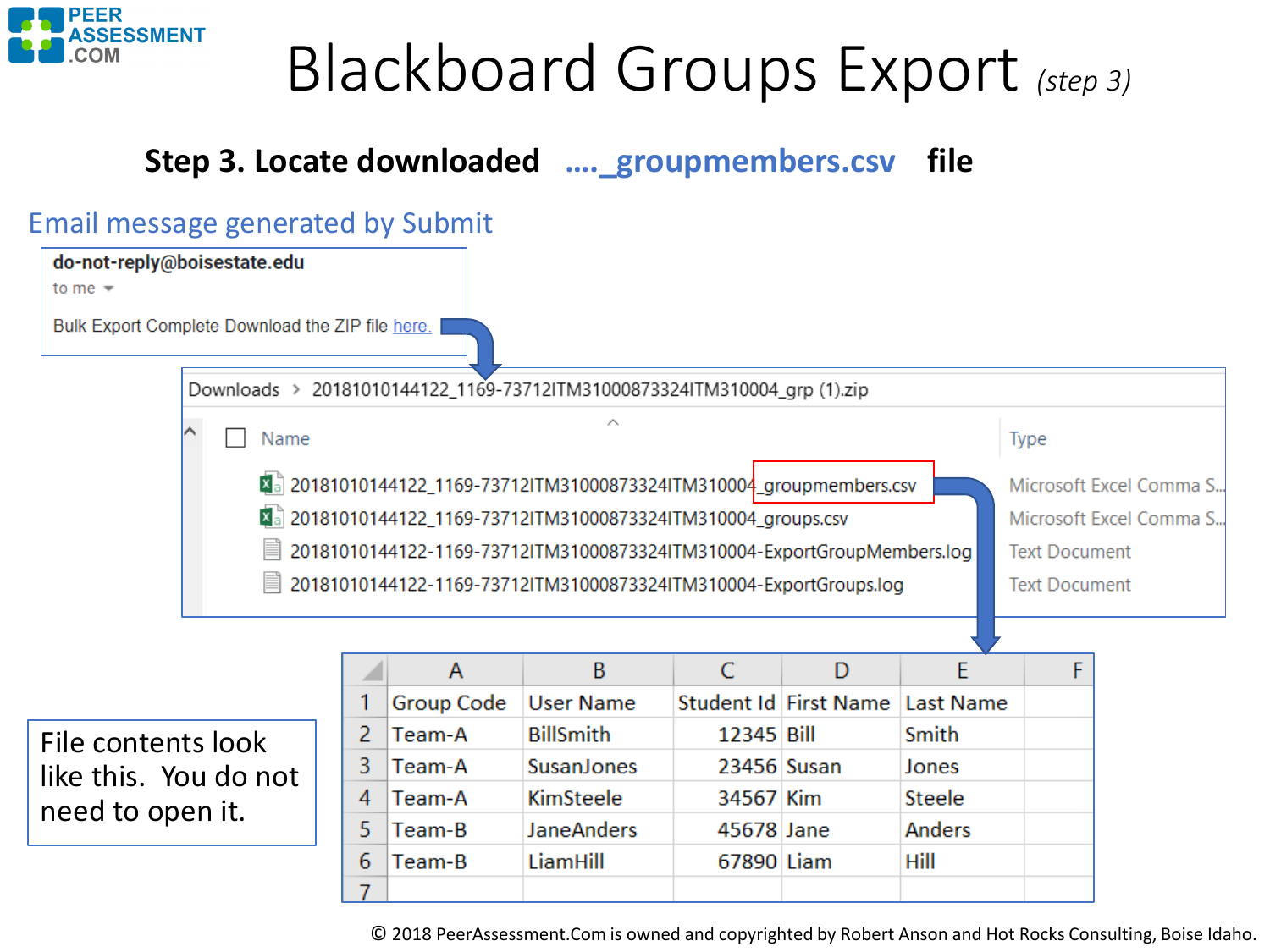

# Blackboard Groups Export *(step 3)*

### **Step 3. Locate downloaded ….\_groupmembers.csv file**

#### Email message generated by Submit



| File contents look |                       |
|--------------------|-----------------------|
|                    | like this. You do not |
| need to open it.   |                       |

|   |            | В                 | C           |                                 |        |  |
|---|------------|-------------------|-------------|---------------------------------|--------|--|
|   | Group Code | <b>User Name</b>  |             | Student Id First Name Last Name |        |  |
|   | Team-A     | <b>BillSmith</b>  | 12345 Bill  |                                 | Smith  |  |
| 3 | Team-A     | SusanJones        | 23456 Susan |                                 | Jones  |  |
| 4 | Team-A     | KimSteele         | 34567 Kim   |                                 | Steele |  |
| 5 | Team-B     | <b>JaneAnders</b> | 45678 Jane  |                                 | Anders |  |
|   | Team-B     | LiamHill          | 67890 Liam  |                                 | Hill   |  |
|   |            |                   |             |                                 |        |  |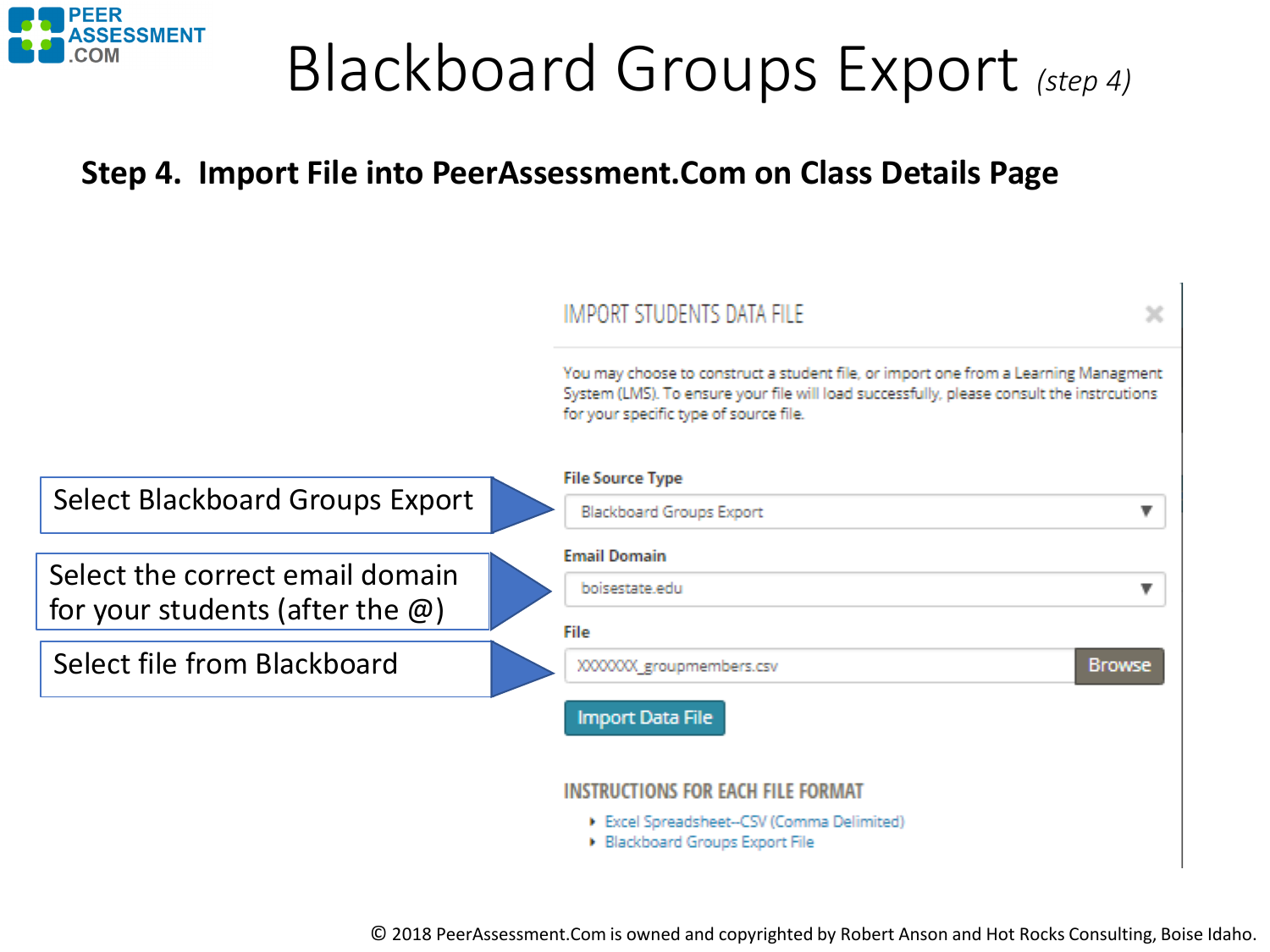

# Blackboard Groups Export *(step 4)*

### **Step 4. Import File into PeerAssessment.Com on Class Details Page**



**Blackboard Groups Export File**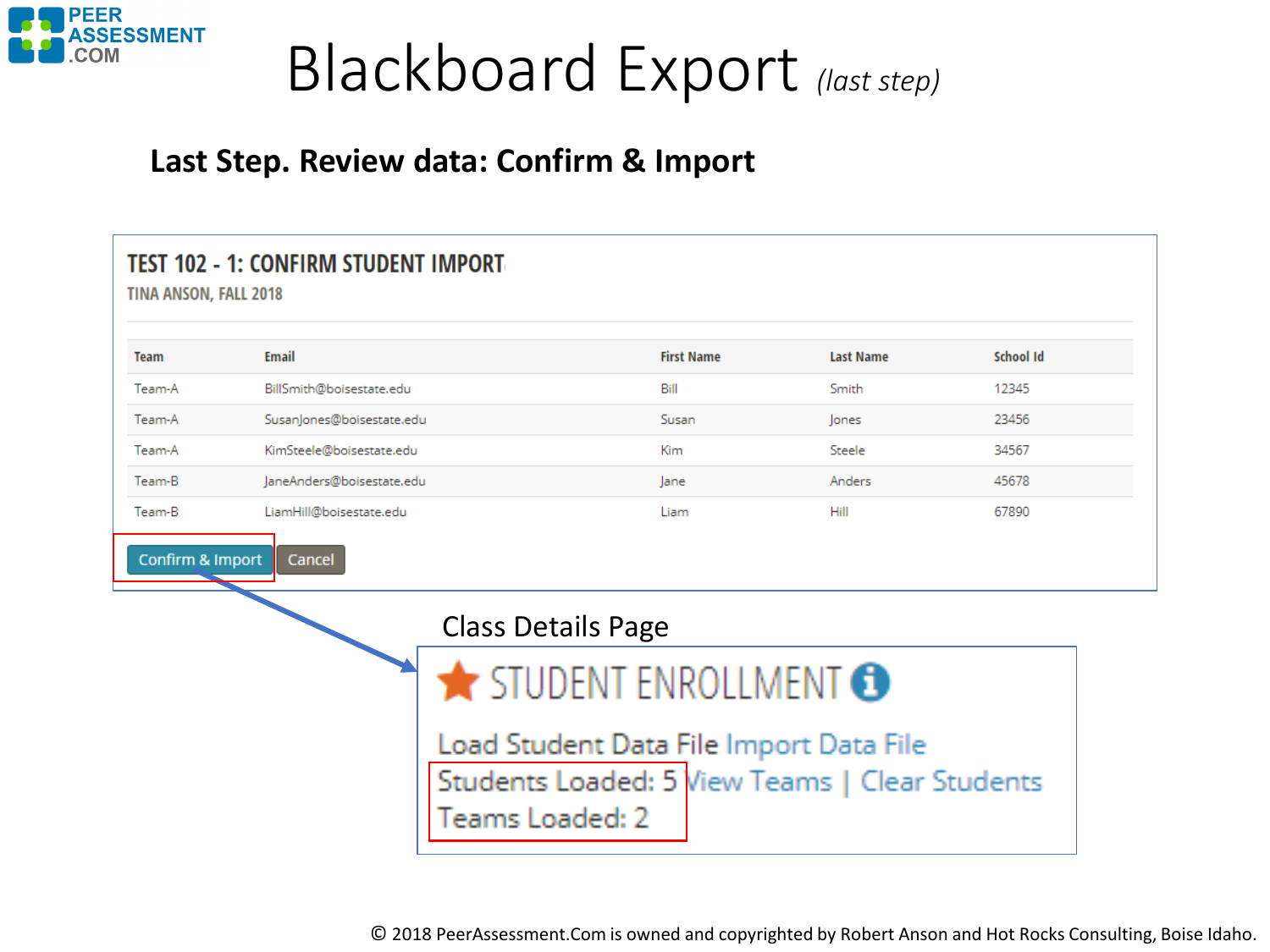<span id="page-8-0"></span>

## Blackboard Export *(last step)*

#### **Last Step. Review data: Confirm & Import**

| <b>Team</b>          | TINA ANSON, FALL 2018<br>Email | <b>First Name</b>                                                                         | <b>Last Name</b> | School Id |
|----------------------|--------------------------------|-------------------------------------------------------------------------------------------|------------------|-----------|
| Team-A               | BillSmith@boisestate.edu       | Bill                                                                                      | Smith            | 12345     |
| Team-A               | SusanJones@boisestate.edu      | Susan                                                                                     | lones            | 23456     |
| Team-A               | KimSteele@boisestate.edu       | <b>Kim</b>                                                                                | Steele           | 34567     |
| Team-B               | JaneAnders@boisestate.edu      | lane                                                                                      | Anders           | 45678     |
| Team-B               | LiamHill@boisestate.edu        | Liam                                                                                      | Hill             | 67890     |
| Confirm & Import     | Cancel                         | <b>Class Details Page</b>                                                                 |                  |           |
| STUDENT ENROLLMENT O |                                |                                                                                           |                  |           |
|                      | Teams Loaded: 2                | Load Student Data File Import Data File<br>Students Loaded: 5 View Teams   Clear Students |                  |           |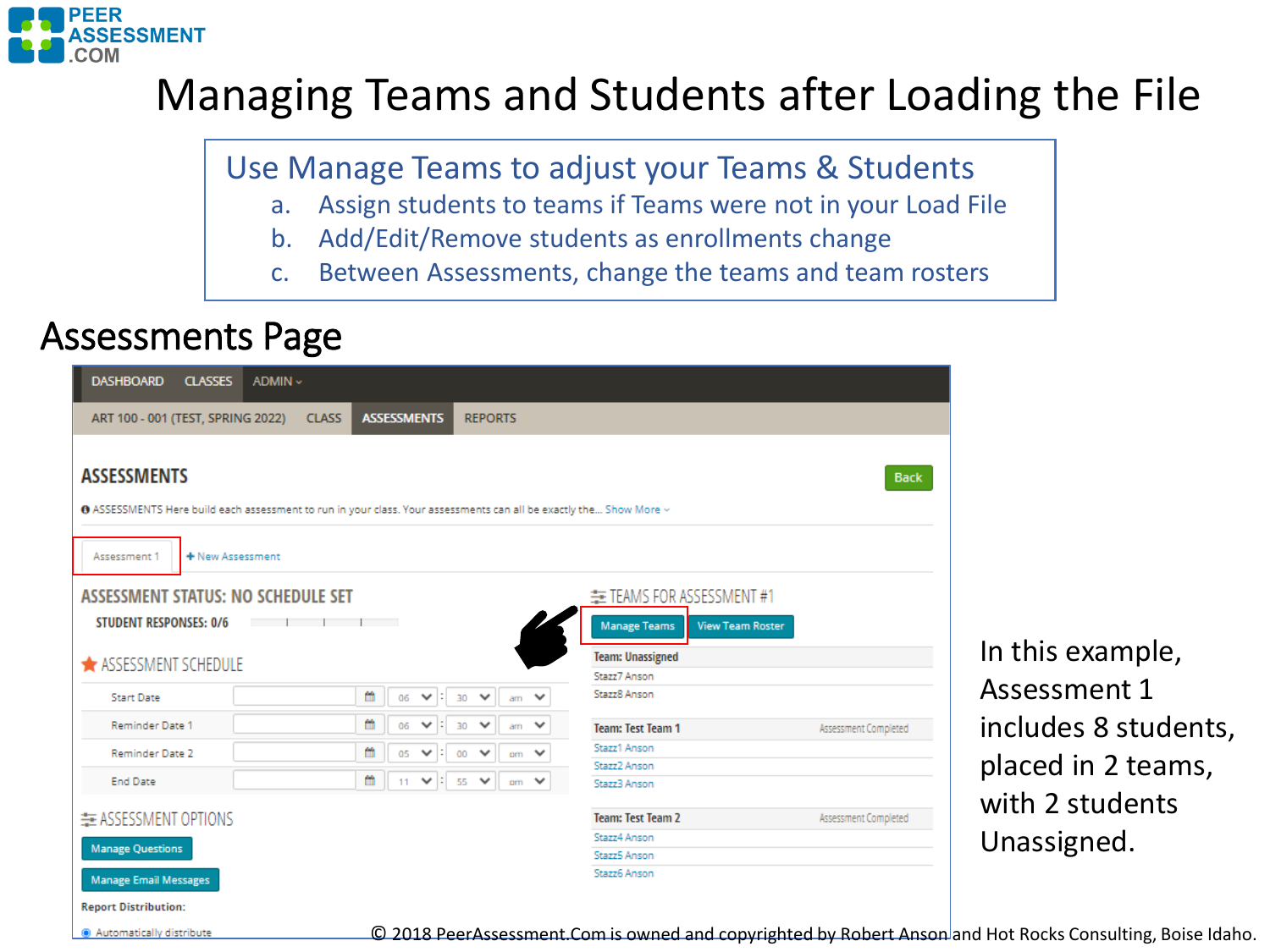

### Managing Teams and Students after Loading the File

Use Manage Teams to adjust your Teams & Students

- a. Assign students to teams if Teams were not in your Load File
- b. Add/Edit/Remove students as enrollments change
- c. Between Assessments, change the teams and team rosters

### Assessments Page

Automatically distribute

| <b>DASHBOARD</b><br><b>CLASSES</b><br>ADMIN ~                                                                                                        |                                    |                                                        |                                                                             |                      |
|------------------------------------------------------------------------------------------------------------------------------------------------------|------------------------------------|--------------------------------------------------------|-----------------------------------------------------------------------------|----------------------|
| ART 100 - 001 (TEST, SPRING 2022)                                                                                                                    | <b>ASSESSMENTS</b><br><b>CLASS</b> | <b>REPORTS</b>                                         |                                                                             |                      |
| <b>ASSESSMENTS</b><br><b>O</b> ASSESSMENTS Here build each assessment to run in your class. Your assessments can all be exactly the Show More $\vee$ |                                    |                                                        |                                                                             | <b>Back</b>          |
| + New Assessment<br>Assessment 1                                                                                                                     |                                    |                                                        |                                                                             |                      |
| <b>ASSESSMENT STATUS: NO SCHEDULE SET</b><br><b>STUDENT RESPONSES: 0/6</b>                                                                           |                                    |                                                        | E TEAMS FOR ASSESSMENT #1<br><b>View Team Roster</b><br><b>Manage Teams</b> |                      |
| <b>*</b> ASSESSMENT SCHEDULE                                                                                                                         |                                    |                                                        | <b>Team: Unassigned</b>                                                     |                      |
| <b>Start Date</b>                                                                                                                                    | 曲<br>$\checkmark$<br>÷<br>06       | $\checkmark$<br>$\checkmark$<br>30<br>am               | Stazz7 Anson<br>Stazz8 Anson                                                |                      |
| <b>Reminder Date 1</b>                                                                                                                               | m<br>и<br>06<br>$\checkmark$       | $\checkmark$<br>30<br>$\checkmark$<br>am               | <b>Team: Test Team 1</b>                                                    | Assessment Completed |
| Reminder Date 2                                                                                                                                      | 飴<br>05<br>$\checkmark$<br>÷       | $om \vee$<br>$\checkmark$<br>00                        | Stazz1 Anson                                                                |                      |
| <b>End Date</b>                                                                                                                                      | m<br>$\vee$ :<br>11                | $\overline{55}$<br>$\checkmark$<br>$\checkmark$<br>om. | Stazz2 Anson<br>Stazz3 Anson                                                |                      |
| E ASSESSMENT OPTIONS                                                                                                                                 |                                    |                                                        | <b>Team: Test Team 2</b>                                                    | Assessment Completed |
| <b>Manage Questions</b>                                                                                                                              |                                    |                                                        | Stazz4 Anson                                                                |                      |
|                                                                                                                                                      |                                    |                                                        | Stazz5 Anson                                                                |                      |
| <b>Manage Email Messages</b><br><b>Report Distribution:</b>                                                                                          |                                    |                                                        | Stazz6 Anson                                                                |                      |

In this example, Assessment 1 includes 8 students, placed in 2 teams, with 2 students Unassigned.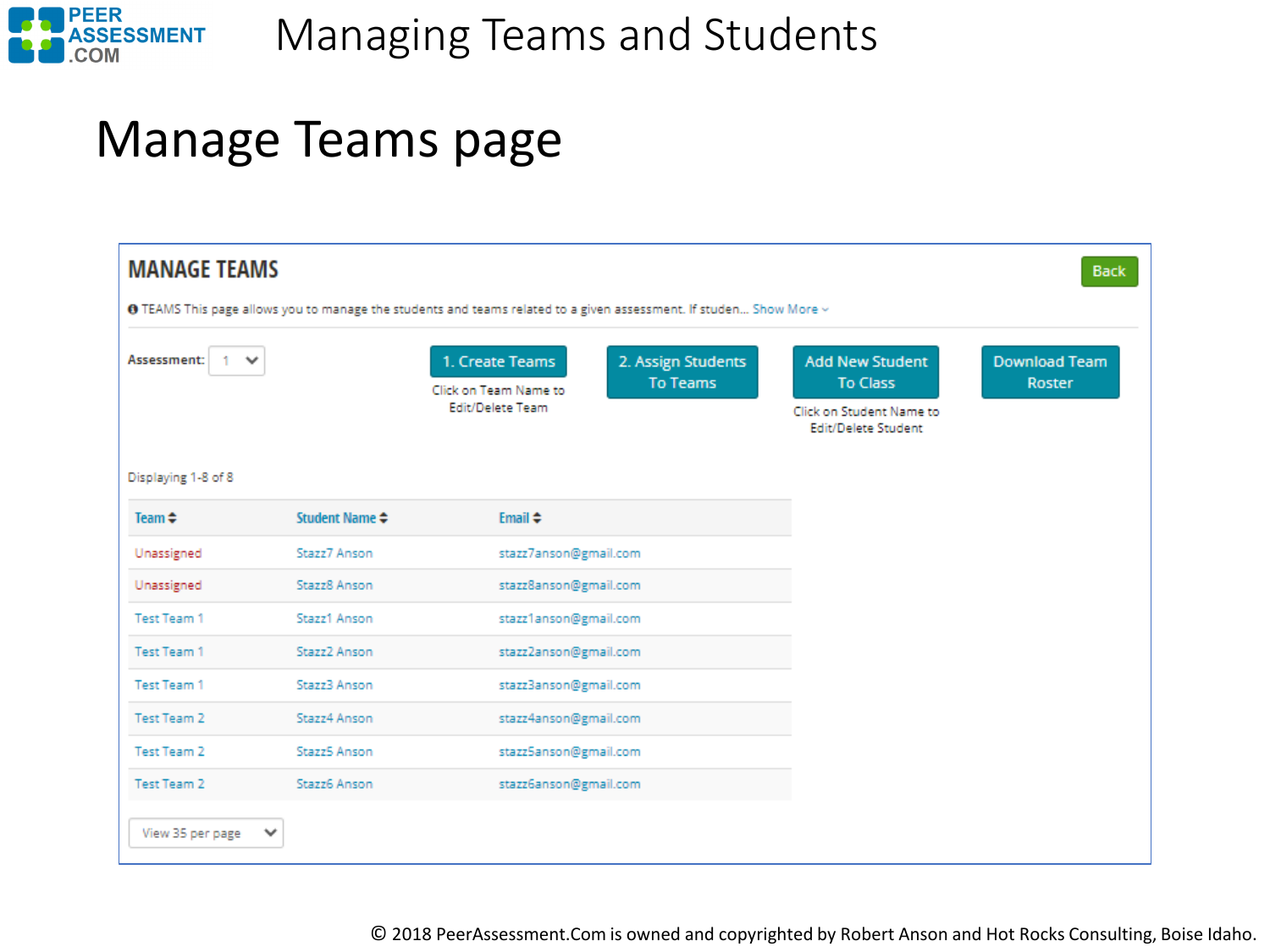

Managing Teams and Students

### Manage Teams page

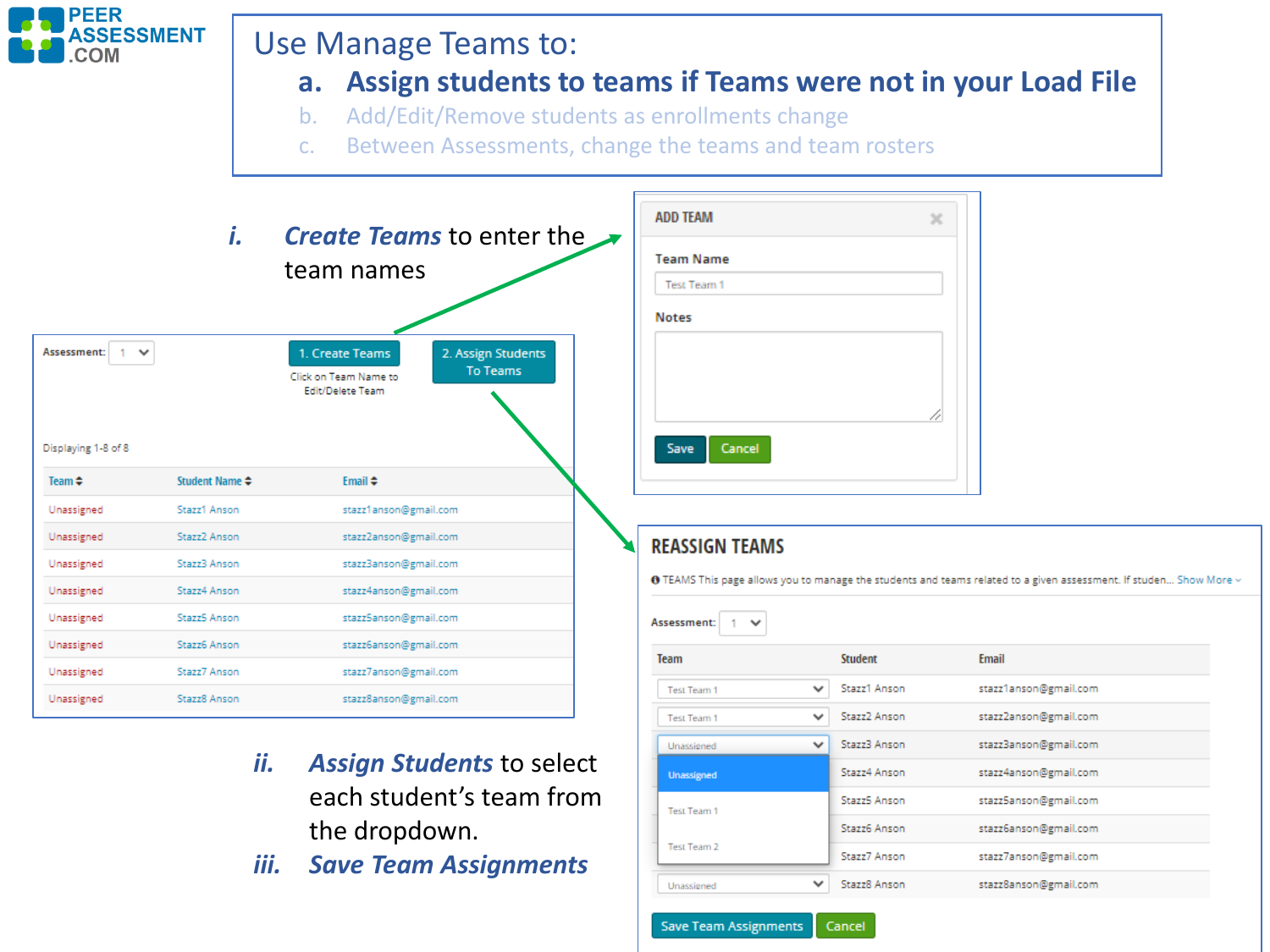

Unassigned

Test Team 1

Test Team 2

Unassigned

**Save Team Assignments** 

Stazz4 Anson

Stazz5 Anson

Stazz6 Anson

Stazz7 Anson

Stazz8 Anson

Cancel

 $\checkmark$ 

stazz4anson@gmail.com

stazz5anson@gmail.com

stazz6anson@gmail.com

stazz7anson@gmail.com

stazz8anson@gmail.com

- *ii. Assign Students* to select each student's team from the dropdown.
- *iii. Save Team Assignments*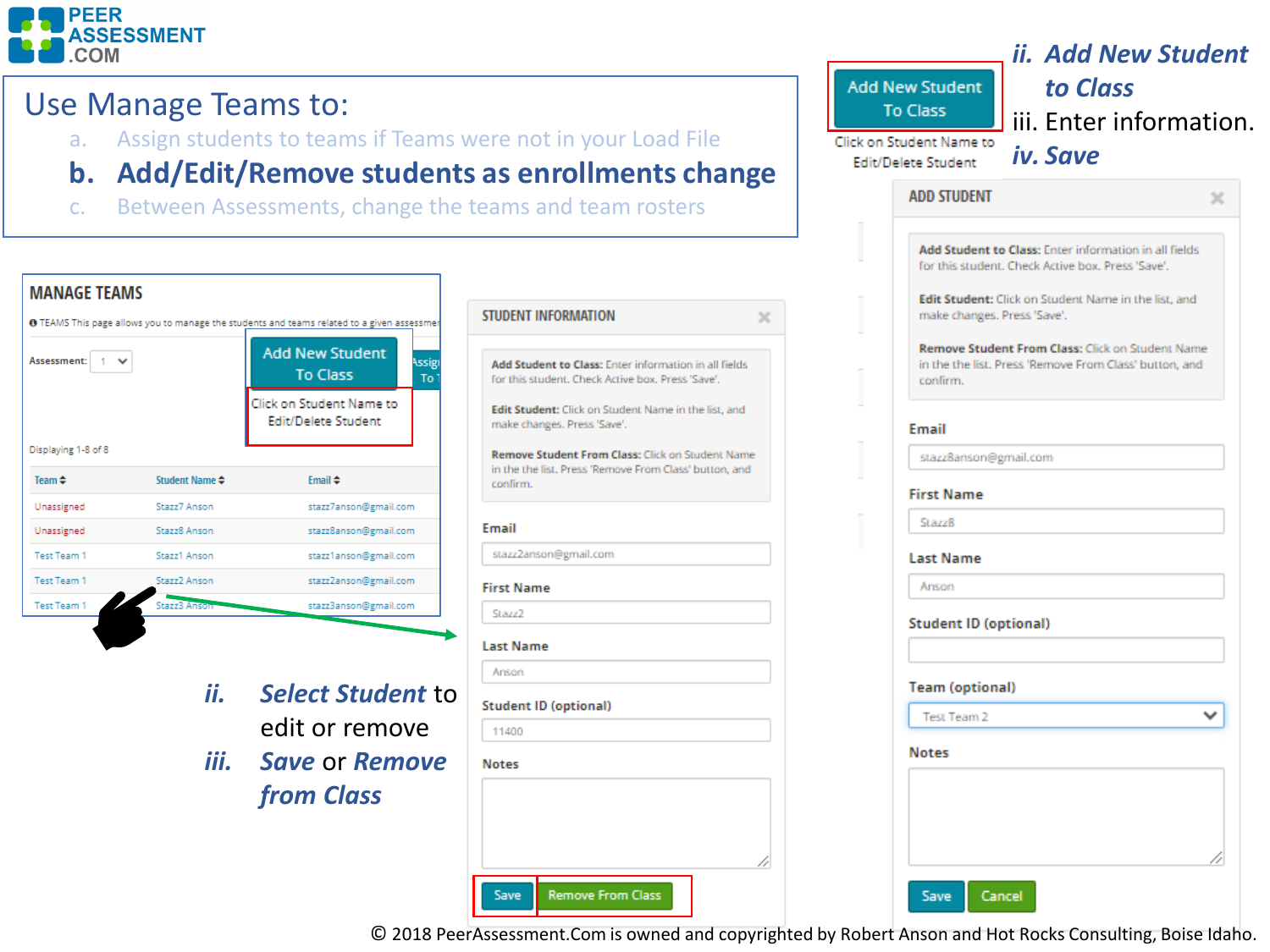

#### Use Manage Teams to:

- a. Assign students to teams if Teams were not in your Load File
- **b. Add/Edit/Remove students as enrollments change**
- c. Between Assessments, change the teams and team rosters



| ii. Add New Student<br>to Class<br><b>Add New Student</b><br>To Class<br>iii. Enter information.<br>lick on Student Name to<br>iv. Save<br><b>Edit/Delete Student</b> |
|-----------------------------------------------------------------------------------------------------------------------------------------------------------------------|
| <b>ADD STUDENT</b><br>×                                                                                                                                               |
| Add Student to Class: Enter information in all fields<br>for this student. Check Active box. Press 'Save'.                                                            |
| Edit Student: Click on Student Name in the list, and<br>make changes. Press 'Save'.                                                                                   |
| Remove Student From Class: Click on Student Name<br>in the the list. Press 'Remove From Class' button, and<br>confirm.                                                |
| Email                                                                                                                                                                 |
| stazz8anson@gmail.com                                                                                                                                                 |
| <b>First Name</b>                                                                                                                                                     |
| <b>Stazz8</b>                                                                                                                                                         |
| <b>Last Name</b>                                                                                                                                                      |
| Anson                                                                                                                                                                 |
| <b>Student ID (optional)</b>                                                                                                                                          |
|                                                                                                                                                                       |
| <b>Team (optional)</b>                                                                                                                                                |
| <b>Test Team 2</b>                                                                                                                                                    |
| <b>Notes</b>                                                                                                                                                          |
|                                                                                                                                                                       |
|                                                                                                                                                                       |
|                                                                                                                                                                       |

© 2018 PeerAssessment.Com is owned and copyrighted by Robert Anson and Hot Rocks Consulting, Boise Idaho.

 $\times$